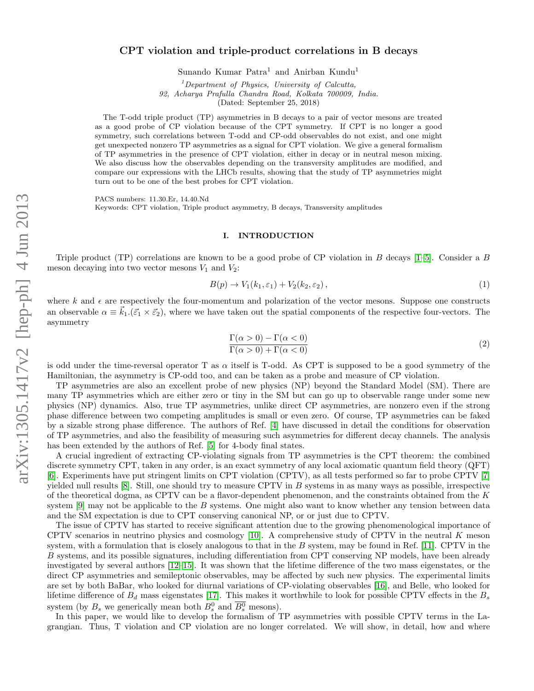## CPT violation and triple-product correlations in B decays

Sunando Kumar Patra<sup>1</sup> and Anirban Kundu<sup>1</sup>

 ${}^{1}$ Department of Physics, University of Calcutta, 92, Acharya Prafulla Chandra Road, Kolkata 700009, India.

(Dated: September 25, 2018)

The T-odd triple product (TP) asymmetries in B decays to a pair of vector mesons are treated as a good probe of CP violation because of the CPT symmetry. If CPT is no longer a good symmetry, such correlations between T-odd and CP-odd observables do not exist, and one might get unexpected nonzero TP asymmetries as a signal for CPT violation. We give a general formalism of TP asymmetries in the presence of CPT violation, either in decay or in neutral meson mixing. We also discuss how the observables depending on the transversity amplitudes are modified, and compare our expressions with the LHCb results, showing that the study of TP asymmetries might turn out to be one of the best probes for CPT violation.

PACS numbers: 11.30.Er, 14.40.Nd

Keywords: CPT violation, Triple product asymmetry, B decays, Transversity amplitudes

### I. INTRODUCTION

Triple product (TP) correlations are known to be a good probe of CP violation in B decays [\[1](#page-13-0)[–5\]](#page-13-1). Consider a B meson decaying into two vector mesons  $V_1$  and  $V_2$ :

$$
B(p) \to V_1(k_1, \varepsilon_1) + V_2(k_2, \varepsilon_2), \tag{1}
$$

where k and  $\epsilon$  are respectively the four-momentum and polarization of the vector mesons. Suppose one constructs an observable  $\alpha \equiv \vec{k}_1.(\vec{\varepsilon}_1 \times \vec{\varepsilon}_2)$ , where we have taken out the spatial components of the respective four-vectors. The asymmetry

$$
\frac{\Gamma(\alpha > 0) - \Gamma(\alpha < 0)}{\Gamma(\alpha > 0) + \Gamma(\alpha < 0)}
$$
\n(2)

is odd under the time-reversal operator T as  $\alpha$  itself is T-odd. As CPT is supposed to be a good symmetry of the Hamiltonian, the asymmetry is CP-odd too, and can be taken as a probe and measure of CP violation.

TP asymmetries are also an excellent probe of new physics (NP) beyond the Standard Model (SM). There are many TP asymmetries which are either zero or tiny in the SM but can go up to observable range under some new physics (NP) dynamics. Also, true TP asymmetries, unlike direct CP asymmetries, are nonzero even if the strong phase difference between two competing amplitudes is small or even zero. Of course, TP asymmetries can be faked by a sizable strong phase difference. The authors of Ref. [\[4\]](#page-13-2) have discussed in detail the conditions for observation of TP asymmetries, and also the feasibility of measuring such asymmetries for different decay channels. The analysis has been extended by the authors of Ref. [\[5\]](#page-13-1) for 4-body final states.

A crucial ingredient of extracting CP-violating signals from TP asymmetries is the CPT theorem: the combined discrete symmetry CPT, taken in any order, is an exact symmetry of any local axiomatic quantum field theory (QFT) [\[6\]](#page-13-3). Experiments have put stringent limits on CPT violation (CPTV), as all tests performed so far to probe CPTV [\[7\]](#page-13-4) yielded null results [\[8\]](#page-13-5). Still, one should try to measure CPTV in B systems in as many ways as possible, irrespective of the theoretical dogma, as CPTV can be a flavor-dependent phenomenon, and the constraints obtained from the K system [\[9\]](#page-13-6) may not be applicable to the B systems. One might also want to know whether any tension between data and the SM expectation is due to CPT conserving canonical NP, or or just due to CPTV.

The issue of CPTV has started to receive significant attention due to the growing phenomenological importance of CPTV scenarios in neutrino physics and cosmology [\[10\]](#page-13-7). A comprehensive study of CPTV in the neutral K meson system, with a formulation that is closely analogous to that in the  $B$  system, may be found in Ref. [\[11\]](#page-13-8). CPTV in the B systems, and its possible signatures, including differentiation from CPT conserving NP models, have been already investigated by several authors [\[12–](#page-13-9)[15\]](#page-13-10). It was shown that the lifetime difference of the two mass eigenstates, or the direct CP asymmetries and semileptonic observables, may be affected by such new physics. The experimental limits are set by both BaBar, who looked for diurnal variations of CP-violating observables [\[16\]](#page-13-11), and Belle, who looked for lifetime difference of  $B_d$  mass eigenstates [\[17\]](#page-13-12). This makes it worthwhile to look for possible CPTV effects in the  $B_s$ system (by  $B_s$  we generically mean both  $B_s^0$  and  $\overline{B_s^0}$  mesons).

In this paper, we would like to develop the formalism of TP asymmetries with possible CPTV terms in the Lagrangian. Thus, T violation and CP violation are no longer correlated. We will show, in detail, how and where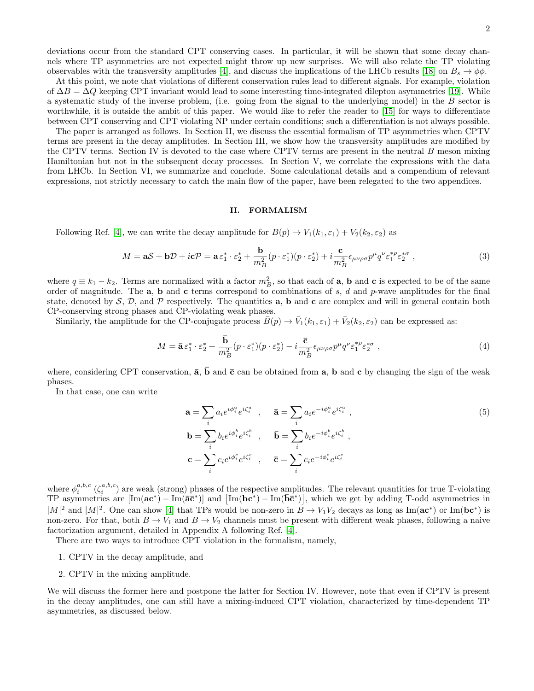deviations occur from the standard CPT conserving cases. In particular, it will be shown that some decay channels where TP asymmetries are not expected might throw up new surprises. We will also relate the TP violating observables with the transversity amplitudes [\[4\]](#page-13-2), and discuss the implications of the LHCb results [\[18\]](#page-13-13) on  $B_s \to \phi\phi$ .

At this point, we note that violations of different conservation rules lead to different signals. For example, violation of  $\Delta B = \Delta Q$  keeping CPT invariant would lead to some interesting time-integrated dilepton asymmetries [\[19\]](#page-13-14). While a systematic study of the inverse problem, (i.e. going from the signal to the underlying model) in the B sector is worthwhile, it is outside the ambit of this paper. We would like to refer the reader to [\[15\]](#page-13-10) for ways to differentiate between CPT conserving and CPT violating NP under certain conditions; such a differentiation is not always possible.

The paper is arranged as follows. In Section II, we discuss the essential formalism of TP asymmetries when CPTV terms are present in the decay amplitudes. In Section III, we show how the transversity amplitudes are modified by the CPTV terms. Section IV is devoted to the case where CPTV terms are present in the neutral B meson mixing Hamiltonian but not in the subsequent decay processes. In Section V, we correlate the expressions with the data from LHCb. In Section VI, we summarize and conclude. Some calculational details and a compendium of relevant expressions, not strictly necessary to catch the main flow of the paper, have been relegated to the two appendices.

### II. FORMALISM

Following Ref. [\[4\]](#page-13-2), we can write the decay amplitude for  $B(p) \to V_1(k_1, \varepsilon_1) + V_2(k_2, \varepsilon_2)$  as

<span id="page-1-0"></span>
$$
M = \mathbf{a}\mathcal{S} + \mathbf{b}\mathcal{D} + i\mathbf{c}\mathcal{P} = \mathbf{a}\,\varepsilon_1^* \cdot \varepsilon_2^* + \frac{\mathbf{b}}{m_B^2} (p \cdot \varepsilon_1^*) (p \cdot \varepsilon_2^*) + i\frac{\mathbf{c}}{m_B^2} \epsilon_{\mu\nu\rho\sigma} p^\mu q^\nu \varepsilon_1^{*\rho} \varepsilon_2^{*\sigma} ,\tag{3}
$$

where  $q \equiv k_1 - k_2$ . Terms are normalized with a factor  $m_B^2$ , so that each of **a**, **b** and **c** is expected to be of the same order of magnitude. The  $a$ ,  $b$  and  $c$  terms correspond to combinations of s, d and p-wave amplitudes for the final state, denoted by  $S$ ,  $D$ , and  $P$  respectively. The quantities **a**, **b** and **c** are complex and will in general contain both CP-conserving strong phases and CP-violating weak phases.

Similarly, the amplitude for the CP-conjugate process  $\bar{B}(p) \to \bar{V}_1(k_1, \varepsilon_1) + \bar{V}_2(k_2, \varepsilon_2)$  can be expressed as:

<span id="page-1-1"></span>
$$
\overline{M} = \overline{\mathbf{a}} \,\varepsilon_1^* \cdot \varepsilon_2^* + \frac{\overline{\mathbf{b}}}{m_B^2} (p \cdot \varepsilon_1^*) (p \cdot \varepsilon_2^*) - i \frac{\overline{\mathbf{c}}}{m_B^2} \epsilon_{\mu\nu\rho\sigma} p^\mu q^\nu \varepsilon_1^{*\rho} \varepsilon_2^{*\sigma} , \qquad (4)
$$

where, considering CPT conservation,  $\bar{a}$ ,  $\bar{b}$  and  $\bar{c}$  can be obtained from a, b and c by changing the sign of the weak phases.

In that case, one can write

<span id="page-1-2"></span>
$$
\mathbf{a} = \sum_{i} a_i e^{i\phi_i^a} e^{i\zeta_i^a} , \qquad \bar{\mathbf{a}} = \sum_{i} a_i e^{-i\phi_i^a} e^{i\zeta_i^a} ,
$$
  
\n
$$
\mathbf{b} = \sum_{i} b_i e^{i\phi_i^b} e^{i\zeta_i^b} , \qquad \bar{\mathbf{b}} = \sum_{i} b_i e^{-i\phi_i^b} e^{i\zeta_i^b} ,
$$
  
\n
$$
\mathbf{c} = \sum_{i} c_i e^{i\phi_i^c} e^{i\zeta_i^c} , \qquad \bar{\mathbf{c}} = \sum_{i} c_i e^{-i\phi_i^c} e^{i\zeta_i^c}
$$
 (5)

where  $\phi_i^{a,b,c}$  ( $\zeta_i^{a,b,c}$ ) are weak (strong) phases of the respective amplitudes. The relevant quantities for true T-violating TP asymmetries are  $[\text{Im}(\mathbf{a}\mathbf{c}^*) - \text{Im}(\mathbf{a}\mathbf{\bar{c}}^*)]$  and  $[\text{Im}(\mathbf{b}\mathbf{c}^*) - \text{Im}(\mathbf{b}\mathbf{\bar{c}}^*)]$ , which we get by adding T-odd asymmetries in  $|M|^2$  and  $|\overline{M}|^2$ . One can show [\[4\]](#page-13-2) that TPs would be non-zero in  $B \to V_1V_2$  decays as long as Im( $ac^*$ ) or Im( $bc^*$ ) is non-zero. For that, both  $B \to V_1$  and  $B \to V_2$  channels must be present with different weak phases, following a naive factorization argument, detailed in Appendix A following Ref. [\[4\]](#page-13-2).

There are two ways to introduce CPT violation in the formalism, namely,

- 1. CPTV in the decay amplitude, and
- 2. CPTV in the mixing amplitude.

We will discuss the former here and postpone the latter for Section IV. However, note that even if CPTV is present in the decay amplitudes, one can still have a mixing-induced CPT violation, characterized by time-dependent TP asymmetries, as discussed below.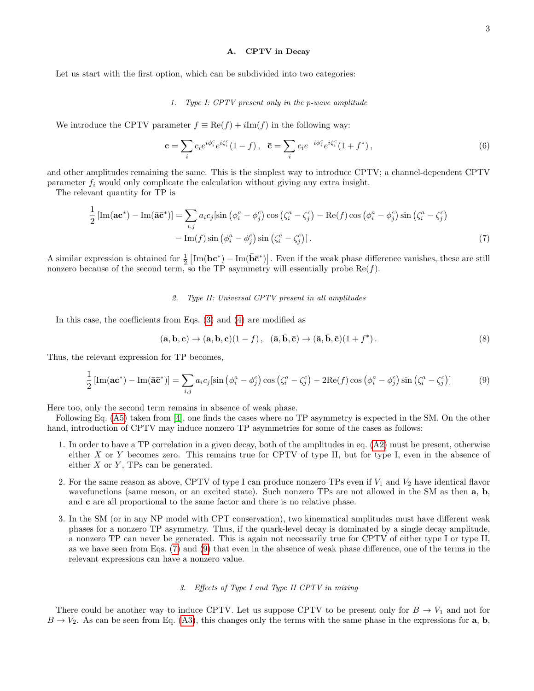#### <span id="page-2-0"></span>A. CPTV in Decay

Let us start with the first option, which can be subdivided into two categories:

### 1. Type I: CPTV present only in the p-wave amplitude

We introduce the CPTV parameter  $f \equiv \text{Re}(f) + i\text{Im}(f)$  in the following way:

$$
\mathbf{c} = \sum_{i} c_{i} e^{i\phi_{i}^{c}} e^{i\zeta_{i}^{c}} (1 - f), \quad \bar{\mathbf{c}} = \sum_{i} c_{i} e^{-i\phi_{i}^{c}} e^{i\zeta_{i}^{c}} (1 + f^{*}), \tag{6}
$$

and other amplitudes remaining the same. This is the simplest way to introduce CPTV; a channel-dependent CPTV parameter  $f_i$  would only complicate the calculation without giving any extra insight.

The relevant quantity for TP is

$$
\frac{1}{2}\left[\text{Im}(\mathbf{a}\mathbf{c}^*) - \text{Im}(\bar{\mathbf{a}}\bar{\mathbf{c}}^*)\right] = \sum_{i,j} a_i c_j [\sin\left(\phi_i^a - \phi_j^c\right) \cos\left(\zeta_i^a - \zeta_j^c\right) - \text{Re}(f) \cos\left(\phi_i^a - \phi_j^c\right) \sin\left(\zeta_i^a - \zeta_j^c\right) - \text{Im}(f) \sin\left(\phi_i^a - \phi_j^c\right) \sin\left(\zeta_i^a - \zeta_j^c\right)].\tag{7}
$$

A similar expression is obtained for  $\frac{1}{2} [\text{Im}(\mathbf{b}\mathbf{c}^*) - \text{Im}(\mathbf{b}\mathbf{\bar{c}}^*)]$ . Even if the weak phase difference vanishes, these are still nonzero because of the second term, so the TP asymmetry will essentially probe  $\text{Re}(f)$ .

### <span id="page-2-1"></span>2. Type II: Universal CPTV present in all amplitudes

In this case, the coefficients from Eqs. [\(3\)](#page-1-0) and [\(4\)](#page-1-1) are modified as

$$
(\mathbf{a}, \mathbf{b}, \mathbf{c}) \to (\mathbf{a}, \mathbf{b}, \mathbf{c})(1 - f), \quad (\bar{\mathbf{a}}, \bar{\mathbf{b}}, \bar{\mathbf{c}}) \to (\bar{\mathbf{a}}, \bar{\mathbf{b}}, \bar{\mathbf{c}})(1 + f^*).
$$
 (8)

Thus, the relevant expression for TP becomes,

$$
\frac{1}{2}\left[\text{Im}(\mathbf{a}\mathbf{c}^*) - \text{Im}(\mathbf{\bar{a}}\mathbf{\bar{c}}^*)\right] = \sum_{i,j} a_i c_j [\sin\left(\phi_i^a - \phi_j^c\right) \cos\left(\zeta_i^a - \zeta_j^c\right) - 2\text{Re}(f) \cos\left(\phi_i^a - \phi_j^c\right) \sin\left(\zeta_i^a - \zeta_j^c\right)]\tag{9}
$$

Here too, only the second term remains in absence of weak phase.

Following Eq. [\(A5\)](#page-11-0) taken from [\[4\]](#page-13-2), one finds the cases where no TP asymmetry is expected in the SM. On the other hand, introduction of CPTV may induce nonzero  $TP$  asymmetries for some of the cases as follows:

- 1. In order to have a TP correlation in a given decay, both of the amplitudes in eq. [\(A2\)](#page-10-0) must be present, otherwise either  $X$  or  $Y$  becomes zero. This remains true for CPTV of type II, but for type I, even in the absence of either  $X$  or  $Y$ , TPs can be generated.
- 2. For the same reason as above, CPTV of type I can produce nonzero TPs even if  $V_1$  and  $V_2$  have identical flavor wavefunctions (same meson, or an excited state). Such nonzero TPs are not allowed in the SM as then a, b, and c are all proportional to the same factor and there is no relative phase.
- 3. In the SM (or in any NP model with CPT conservation), two kinematical amplitudes must have different weak phases for a nonzero TP asymmetry. Thus, if the quark-level decay is dominated by a single decay amplitude, a nonzero TP can never be generated. This is again not necessarily true for CPTV of either type I or type II, as we have seen from Eqs. [\(7\)](#page-2-0) and [\(9\)](#page-2-1) that even in the absence of weak phase difference, one of the terms in the relevant expressions can have a nonzero value.

### 3. Effects of Type I and Type II CPTV in mixing

There could be another way to induce CPTV. Let us suppose CPTV to be present only for  $B \to V_1$  and not for  $B \to V_2$ . As can be seen from Eq. [\(A3\)](#page-10-1), this changes only the terms with the same phase in the expressions for a, b,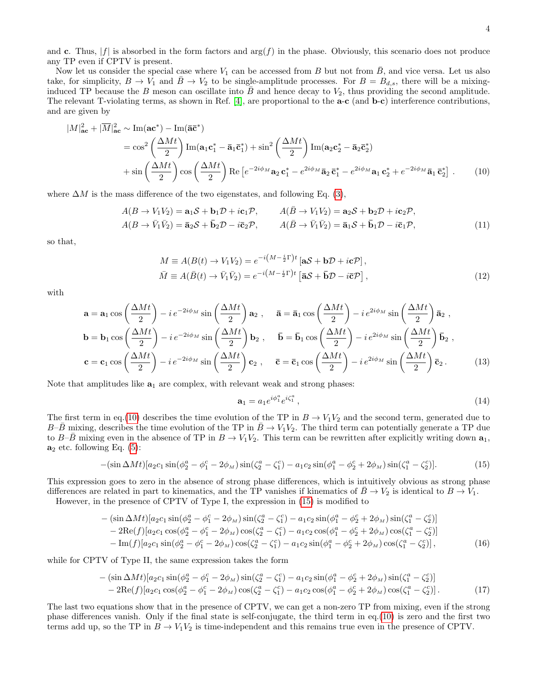and c. Thus,  $|f|$  is absorbed in the form factors and  $\arg(f)$  in the phase. Obviously, this scenario does not produce any TP even if CPTV is present.

Now let us consider the special case where  $V_1$  can be accessed from B but not from  $\bar{B}$ , and vice versa. Let us also take, for simplicity,  $B \to V_1$  and  $B \to V_2$  to be single-amplitude processes. For  $B = B_{d,s}$ , there will be a mixinginduced TP because the B meson can oscillate into B and hence decay to  $V_2$ , thus providing the second amplitude. The relevant T-violating terms, as shown in Ref. [\[4\]](#page-13-2), are proportional to the **a-c** (and **b-c**) interference contributions, and are given by

$$
|M|_{ac}^{2} + |\overline{M}|_{ac}^{2} \sim \text{Im}(ac^{*}) - \text{Im}(\overline{a}\overline{c}^{*})
$$
  
=  $\cos^{2}\left(\frac{\Delta Mt}{2}\right) \text{Im}(a_{1}c_{1}^{*} - \overline{a}_{1}\overline{c}_{1}^{*}) + \sin^{2}\left(\frac{\Delta Mt}{2}\right) \text{Im}(a_{2}c_{2}^{*} - \overline{a}_{2}\overline{c}_{2}^{*})$   
+  $\sin\left(\frac{\Delta Mt}{2}\right) \cos\left(\frac{\Delta Mt}{2}\right) \text{Re}\left[e^{-2i\phi_{M}}a_{2}c_{1}^{*} - e^{2i\phi_{M}}\overline{a}_{2}\overline{c}_{1}^{*} - e^{2i\phi_{M}}a_{1}c_{2}^{*} + e^{-2i\phi_{M}}\overline{a}_{1}\overline{c}_{2}^{*}\right].$  (10)

where  $\Delta M$  is the mass difference of the two eigenstates, and following Eq. [\(3\)](#page-1-0),

$$
A(B \to V_1 V_2) = \mathbf{a}_1 S + \mathbf{b}_1 D + i \mathbf{c}_1 P, \qquad A(\bar{B} \to V_1 V_2) = \mathbf{a}_2 S + \mathbf{b}_2 D + i \mathbf{c}_2 P,
$$
  
\n
$$
A(B \to \bar{V}_1 \bar{V}_2) = \bar{\mathbf{a}}_2 S + \bar{\mathbf{b}}_2 D - i \bar{\mathbf{c}}_2 P, \qquad A(\bar{B} \to \bar{V}_1 \bar{V}_2) = \bar{\mathbf{a}}_1 S + \bar{\mathbf{b}}_1 D - i \bar{\mathbf{c}}_1 P,
$$
\n(11)

so that,

<span id="page-3-0"></span>
$$
M \equiv A(B(t) \to V_1 V_2) = e^{-i(M - \frac{i}{2}\Gamma)t} \left[ aS + b\mathcal{D} + i\mathbf{c}\mathcal{P} \right],
$$
  
\n
$$
\bar{M} \equiv A(\bar{B}(t) \to \bar{V}_1 \bar{V}_2) = e^{-i(M - \frac{i}{2}\Gamma)t} \left[ \bar{a}S + \bar{b}\mathcal{D} - i\bar{\mathbf{c}}\mathcal{P} \right],
$$
\n(12)

with

$$
\mathbf{a} = \mathbf{a}_1 \cos\left(\frac{\Delta Mt}{2}\right) - i e^{-2i\phi_M} \sin\left(\frac{\Delta Mt}{2}\right) \mathbf{a}_2 , \quad \mathbf{\bar{a}} = \mathbf{\bar{a}}_1 \cos\left(\frac{\Delta Mt}{2}\right) - i e^{2i\phi_M} \sin\left(\frac{\Delta Mt}{2}\right) \mathbf{\bar{a}}_2 ,
$$
\n
$$
\mathbf{b} = \mathbf{b}_1 \cos\left(\frac{\Delta Mt}{2}\right) - i e^{-2i\phi_M} \sin\left(\frac{\Delta Mt}{2}\right) \mathbf{b}_2 , \quad \mathbf{\bar{b}} = \mathbf{\bar{b}}_1 \cos\left(\frac{\Delta Mt}{2}\right) - i e^{2i\phi_M} \sin\left(\frac{\Delta Mt}{2}\right) \mathbf{\bar{b}}_2 ,
$$
\n
$$
\mathbf{c} = \mathbf{c}_1 \cos\left(\frac{\Delta Mt}{2}\right) - i e^{-2i\phi_M} \sin\left(\frac{\Delta Mt}{2}\right) \mathbf{c}_2 , \quad \mathbf{\bar{c}} = \mathbf{\bar{c}}_1 \cos\left(\frac{\Delta Mt}{2}\right) - i e^{2i\phi_M} \sin\left(\frac{\Delta Mt}{2}\right) \mathbf{\bar{c}}_2 .
$$
\n(13)

Note that amplitudes like  $a_1$  are complex, with relevant weak and strong phases:

<span id="page-3-1"></span>
$$
\mathbf{a}_1 = a_1 e^{i\phi_1^a} e^{i\zeta_1^a},\tag{14}
$$

The first term in eq.[\(10\)](#page-3-0) describes the time evolution of the TP in  $B \to V_1V_2$  and the second term, generated due to  $B-\bar{B}$  mixing, describes the time evolution of the TP in  $\bar{B}\to V_1V_2$ . The third term can potentially generate a TP due to B– $\bar{B}$  mixing even in the absence of TP in  $B \to V_1V_2$ . This term can be rewritten after explicitly writing down  $a_1$ ,  $a_2$  etc. following Eq. [\(5\)](#page-1-2):

$$
-(\sin \Delta M t)[a_2c_1\sin(\phi_2^a - \phi_1^c - 2\phi_M)\sin(\zeta_2^a - \zeta_1^c) - a_1c_2\sin(\phi_1^a - \phi_2^c + 2\phi_M)\sin(\zeta_1^a - \zeta_2^c)].
$$
\n(15)

This expression goes to zero in the absence of strong phase differences, which is intuitively obvious as strong phase differences are related in part to kinematics, and the TP vanishes if kinematics of  $\bar{B} \to V_2$  is identical to  $B \to V_1$ .

However, in the presence of CPTV of Type I, the expression in [\(15\)](#page-3-1) is modified to

$$
-(\sin \Delta M t)[a_2c_1 \sin(\phi_2^a - \phi_1^c - 2\phi_M) \sin(\zeta_2^a - \zeta_1^c) - a_1c_2 \sin(\phi_1^a - \phi_2^c + 2\phi_M) \sin(\zeta_1^a - \zeta_2^c)] - 2\text{Re}(f)[a_2c_1 \cos(\phi_2^a - \phi_1^c - 2\phi_M) \cos(\zeta_2^a - \zeta_1^c) - a_1c_2 \cos(\phi_1^a - \phi_2^c + 2\phi_M) \cos(\zeta_1^a - \zeta_2^c)] - \text{Im}(f)[a_2c_1 \sin(\phi_2^a - \phi_1^c - 2\phi_M) \cos(\zeta_2^a - \zeta_1^c) - a_1c_2 \sin(\phi_1^a - \phi_2^c + 2\phi_M) \cos(\zeta_1^a - \zeta_2^c)],
$$
\n(16)

while for CPTV of Type II, the same expression takes the form

$$
- (\sin \Delta M t) [a_2 c_1 \sin(\phi_2^a - \phi_1^c - 2\phi_M) \sin(\zeta_2^a - \zeta_1^c) - a_1 c_2 \sin(\phi_1^a - \phi_2^c + 2\phi_M) \sin(\zeta_1^a - \zeta_2^c)] - 2\text{Re}(f) [a_2 c_1 \cos(\phi_2^a - \phi_1^c - 2\phi_M) \cos(\zeta_2^a - \zeta_1^c) - a_1 c_2 \cos(\phi_1^a - \phi_2^c + 2\phi_M) \cos(\zeta_1^a - \zeta_2^c)].
$$
\n(17)

The last two equations show that in the presence of CPTV, we can get a non-zero TP from mixing, even if the strong phase differences vanish. Only if the final state is self-conjugate, the third term in eq.[\(10\)](#page-3-0) is zero and the first two terms add up, so the TP in  $B \to V_1V_2$  is time-independent and this remains true even in the presence of CPTV.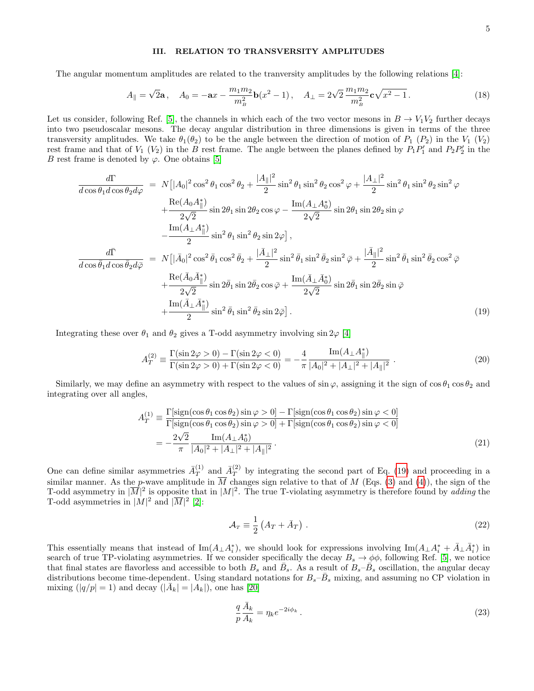## III. RELATION TO TRANSVERSITY AMPLITUDES

The angular momentum amplitudes are related to the tranversity amplitudes by the following relations [\[4\]](#page-13-2):

<span id="page-4-1"></span>
$$
A_{\parallel} = \sqrt{2}\mathbf{a}, \quad A_0 = -\mathbf{a}x - \frac{m_1m_2}{m_B^2}\mathbf{b}(x^2 - 1), \quad A_{\perp} = 2\sqrt{2}\,\frac{m_1m_2}{m_B^2}\mathbf{c}\sqrt{x^2 - 1} \,. \tag{18}
$$

Let us consider, following Ref. [\[5\]](#page-13-1), the channels in which each of the two vector mesons in  $B \to V_1V_2$  further decays into two pseudoscalar mesons. The decay angular distribution in three dimensions is given in terms of the three transversity amplitudes. We take  $\theta_1(\theta_2)$  to be the angle between the direction of motion of  $P_1$  ( $P_2$ ) in the  $V_1$  ( $V_2$ ) rest frame and that of  $V_1$  ( $V_2$ ) in the B rest frame. The angle between the planes defined by  $P_1P'_1$  and  $P_2P'_2$  in the B rest frame is denoted by  $\varphi$ . One obtains [\[5\]](#page-13-1)

<span id="page-4-0"></span>
$$
\frac{d\Gamma}{d\cos\theta_1 d\cos\theta_2 d\varphi} = N[|A_0|^2 \cos^2\theta_1 \cos^2\theta_2 + \frac{|A_{\parallel}|^2}{2} \sin^2\theta_1 \sin^2\theta_2 \cos^2\varphi + \frac{|A_{\perp}|^2}{2} \sin^2\theta_1 \sin^2\theta_2 \sin^2\varphi
$$
  
+ 
$$
\frac{\text{Re}(A_0 A_{\parallel}^*)}{2\sqrt{2}} \sin 2\theta_1 \sin 2\theta_2 \cos\varphi - \frac{\text{Im}(A_{\perp} A_0^*)}{2\sqrt{2}} \sin 2\theta_1 \sin 2\theta_2 \sin\varphi
$$
  
- 
$$
\frac{\text{Im}(A_{\perp} A_{\parallel}^*)}{2} \sin^2\theta_1 \sin^2\theta_2 \sin 2\varphi],
$$
  

$$
\frac{d\bar{\Gamma}}{d\cos\bar{\theta}_1 d\cos\bar{\theta}_2 d\bar{\varphi}} = N[|\bar{A}_0|^2 \cos^2\bar{\theta}_1 \cos^2\bar{\theta}_2 + \frac{|\bar{A}_{\perp}|^2}{2} \sin^2\bar{\theta}_1 \sin^2\bar{\theta}_2 \sin^2\bar{\varphi} + \frac{|\bar{A}_{\parallel}|^2}{2} \sin^2\bar{\theta}_1 \sin^2\bar{\theta}_2 \cos^2\bar{\varphi}
$$
  
+ 
$$
\frac{\text{Re}(\bar{A}_0 \bar{A}_{\parallel}^*)}{2\sqrt{2}} \sin 2\bar{\theta}_1 \sin 2\bar{\theta}_2 \cos\bar{\varphi} + \frac{\text{Im}(\bar{A}_{\perp} \bar{A}_0^*)}{2\sqrt{2}} \sin 2\bar{\theta}_1 \sin 2\bar{\theta}_2 \sin\bar{\varphi}
$$
  
+ 
$$
\frac{\text{Im}(\bar{A}_{\perp} \bar{A}_{\parallel}^*)}{2} \sin^2\bar{\theta}_1 \sin^2\bar{\theta}_2 \sin 2\bar{\varphi}].
$$
(19)

Integrating these over  $\theta_1$  and  $\theta_2$  gives a T-odd asymmetry involving  $\sin 2\varphi$  [\[4\]](#page-13-2)

$$
A_T^{(2)} \equiv \frac{\Gamma(\sin 2\varphi > 0) - \Gamma(\sin 2\varphi < 0)}{\Gamma(\sin 2\varphi > 0) + \Gamma(\sin 2\varphi < 0)} = -\frac{4}{\pi} \frac{\operatorname{Im}(A_\perp A_\parallel^*)}{|A_0|^2 + |A_\perp|^2 + |A_\parallel|^2} \,. \tag{20}
$$

Similarly, we may define an asymmetry with respect to the values of sin  $\varphi$ , assigning it the sign of  $\cos \theta_1 \cos \theta_2$  and integrating over all angles,

$$
A_T^{(1)} \equiv \frac{\Gamma[\text{sign}(\cos\theta_1\cos\theta_2)\sin\varphi > 0] - \Gamma[\text{sign}(\cos\theta_1\cos\theta_2)\sin\varphi < 0]}{\Gamma[\text{sign}(\cos\theta_1\cos\theta_2)\sin\varphi > 0] + \Gamma[\text{sign}(\cos\theta_1\cos\theta_2)\sin\varphi < 0]}
$$
\n
$$
= -\frac{2\sqrt{2}}{\pi} \frac{\text{Im}(A_\perp A_0^*)}{|A_0|^2 + |A_\perp|^2 + |A_\parallel|^2}.
$$
\n(21)

One can define similar asymmetries  $\bar{A}_T^{(1)}$  $T^{(1)}$  and  $\bar{A}_T^{(2)}$  $T<sup>(2)</sup>$  by integrating the second part of Eq. [\(19\)](#page-4-0) and proceeding in a similar manner. As the p-wave amplitude in  $\overline{M}$  changes sign relative to that of M (Eqs. [\(3\)](#page-1-0) and [\(4\)](#page-1-1)), the sign of the T-odd asymmetry in  $|\overline{M}|^2$  is opposite that in  $|M|^2$ . The true T-violating asymmetry is therefore found by adding the T-odd asymmetries in  $|M|^2$  and  $|\overline{M}|^2$  [\[2\]](#page-13-15):

$$
\mathcal{A}_T \equiv \frac{1}{2} \left( A_T + \bar{A}_T \right) \,. \tag{22}
$$

This essentially means that instead of  $\text{Im}(A_{\perp}A_i^*)$ , we should look for expressions involving  $\text{Im}(A_{\perp}A_i^* + \bar{A}_{\perp}\bar{A}_i^*)$  in search of true TP-violating asymmetries. If we consider specifically the decay  $B_s \to \phi\phi$ , following Ref. [\[5\]](#page-13-1), we notice that final states are flavorless and accessible to both  $B_s$  and  $\bar{B}_s$ . As a result of  $B_s-\bar{B}_s$  oscillation, the angular decay distributions become time-dependent. Using standard notations for  $B_s-\bar{B}_s$  mixing, and assuming no CP violation in mixing  $(|q/p|=1)$  and decay  $(|\bar{A}_k| = |A_k|)$ , one has [\[20\]](#page-13-16)

$$
\frac{q}{p}\frac{\bar{A}_k}{A_k} = \eta_k e^{-2i\phi_k} \,. \tag{23}
$$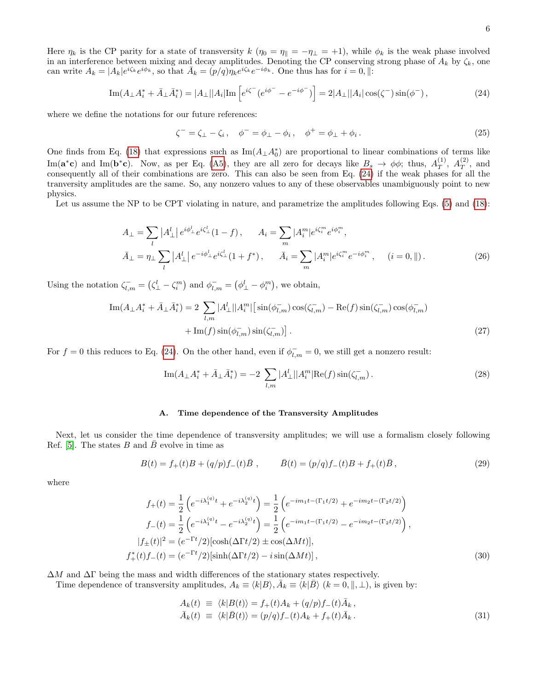Here  $\eta_k$  is the CP parity for a state of transversity  $k(\eta_0 = \eta_{\parallel} = -\eta_{\perp} = +1)$ , while  $\phi_k$  is the weak phase involved in an interference between mixing and decay amplitudes. Denoting the CP conserving strong phase of  $A_k$  by  $\zeta_k$ , one can write  $A_k = |A_k|e^{i\zeta_k}e^{i\phi_k}$ , so that  $\bar{A}_k = (p/q)\eta_k e^{i\zeta_k}e^{-i\phi_k}$ . One thus has for  $i = 0, ||$ :

<span id="page-5-0"></span>
$$
\operatorname{Im}(A_{\perp}A_i^* + \bar{A}_{\perp}\bar{A}_i^*) = |A_{\perp}||A_i|\operatorname{Im}\left[e^{i\zeta^{-}}(e^{i\phi^{-}} - e^{-i\phi^{-}})\right] = 2|A_{\perp}||A_i|\cos(\zeta^{-})\sin(\phi^{-}),\tag{24}
$$

where we define the notations for our future references:

<span id="page-5-1"></span>
$$
\zeta^- = \zeta_\perp - \zeta_i, \quad \phi^- = \phi_\perp - \phi_i, \quad \phi^+ = \phi_\perp + \phi_i. \tag{25}
$$

One finds from Eq. [\(18\)](#page-4-1) that expressions such as  $\text{Im}(A_{\perp}A_0^*)$  are proportional to linear combinations of terms like Im( $\mathbf{a}^*\mathbf{c}$ ) and Im( $\mathbf{b}^*\mathbf{c}$ ). Now, as per Eq. [\(A5\)](#page-11-0), they are all zero for decays like  $B_s \to \phi\phi$ ; thus,  $A_T^{(1)}$  $T^{(1)}, A_T^{(2)}$  $T^{(2)}$ , and consequently all of their combinations are zero. This can also be seen from Eq. [\(24\)](#page-5-0) if the weak phases for all the tranversity amplitudes are the same. So, any nonzero values to any of these observables unambiguously point to new physics.

Let us assume the NP to be CPT violating in nature, and parametrize the amplitudes following Eqs. [\(5\)](#page-1-2) and [\(18\)](#page-4-1):

$$
A_{\perp} = \sum_{l} |A_{\perp}^{l}| e^{i\phi_{\perp}^{l}} e^{i\zeta_{\perp}^{l}} (1 - f), \qquad A_{i} = \sum_{m} |A_{i}^{m}| e^{i\zeta_{i}^{m}} e^{i\phi_{i}^{m}},
$$
  

$$
\bar{A}_{\perp} = \eta_{\perp} \sum_{l} |A_{\perp}^{l}| e^{-i\phi_{\perp}^{l}} e^{i\zeta_{\perp}^{l}} (1 + f^{*}), \qquad \bar{A}_{i} = \sum_{m} |A_{i}^{m}| e^{i\zeta_{i}^{m}} e^{-i\phi_{i}^{m}}, \qquad (i = 0, \|).
$$
 (26)

Using the notation  $\zeta_{l,m}^- = (\zeta_{\perp}^l - \zeta_i^m)$  and  $\phi_{l,m}^- = (\phi_{\perp}^l - \phi_i^m)$ , we obtain,

$$
\operatorname{Im}(A_{\perp}A_i^* + \bar{A}_{\perp}\bar{A}_i^*) = 2 \sum_{l,m} |A_{\perp}^l||A_i^m| \left[ \sin(\phi_{l,m}^-) \cos(\zeta_{l,m}^-) - \operatorname{Re}(f) \sin(\zeta_{l,m}^-) \cos(\phi_{l,m}^-) + \operatorname{Im}(f) \sin(\phi_{l,m}^-) \sin(\zeta_{l,m}^-) \right].
$$
\n(27)

For  $f = 0$  this reduces to Eq. [\(24\)](#page-5-0). On the other hand, even if  $\phi_{l,m}^- = 0$ , we still get a nonzero result:

$$
\operatorname{Im}(A_{\perp}A_i^* + \bar{A}_{\perp}\bar{A}_i^*) = -2 \sum_{l,m} |A_{\perp}^l||A_i^m|\operatorname{Re}(f)\sin(\zeta_{l,m}^-). \tag{28}
$$

### A. Time dependence of the Transversity Amplitudes

Next, let us consider the time dependence of transversity amplitudes; we will use a formalism closely following Ref. [\[5\]](#page-13-1). The states  $B$  and  $\overline{B}$  evolve in time as

$$
B(t) = f_{+}(t)B + (q/p)f_{-}(t)\bar{B} , \qquad \bar{B}(t) = (p/q)f_{-}(t)B + f_{+}(t)\bar{B} , \qquad (29)
$$

where

$$
f_{+}(t) = \frac{1}{2} \left( e^{-i\lambda_{1}^{(q)}t} + e^{-i\lambda_{2}^{(q)}t} \right) = \frac{1}{2} \left( e^{-im_{1}t - (\Gamma_{1}t/2)} + e^{-im_{2}t - (\Gamma_{2}t/2)} \right)
$$
  
\n
$$
f_{-}(t) = \frac{1}{2} \left( e^{-i\lambda_{1}^{(q)}t} - e^{-i\lambda_{2}^{(q)}t} \right) = \frac{1}{2} \left( e^{-im_{1}t - (\Gamma_{1}t/2)} - e^{-im_{2}t - (\Gamma_{2}t/2)} \right),
$$
  
\n
$$
|f_{+}(t)|^{2} = (e^{-\Gamma t}/2) [\cosh(\Delta \Gamma t/2) \pm \cos(\Delta Mt)],
$$
  
\n
$$
f_{+}^{*}(t) f_{-}(t) = (e^{-\Gamma t}/2) [\sinh(\Delta \Gamma t/2) - i \sin(\Delta Mt)],
$$
\n(30)

 $\Delta M$  and  $\Delta \Gamma$  being the mass and width differences of the stationary states respectively.

Time dependence of transversity amplitudes,  $A_k \equiv \langle k|B\rangle$ ,  $\bar{A}_k \equiv \langle k|\bar{B}\rangle$   $(k = 0, \parallel, \perp)$ , is given by:

<span id="page-5-2"></span>
$$
A_k(t) \equiv \langle k|B(t)\rangle = f_+(t)A_k + (q/p)f_-(t)\bar{A}_k,
$$
  
\n
$$
\bar{A}_k(t) \equiv \langle k|\bar{B}(t)\rangle = (p/q)f_-(t)A_k + f_+(t)\bar{A}_k.
$$
\n(31)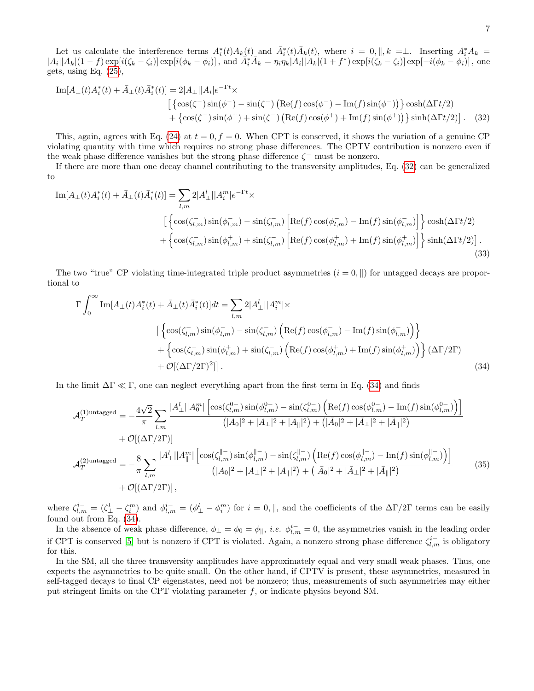Let us calculate the interference terms  $A_i^*(t)A_k(t)$  and  $\overline{A}_i^*(t)\overline{A}_k(t)$ , where  $i = 0, \parallel, k = \perp$ . Inserting  $A_i^*A_k =$  $|A_i||A_k|(1-f) \exp[i(\zeta_k-\zeta_i)] \exp[i(\phi_k-\phi_i)]$ , and  $\overline{A_i^*A_k} = \eta_i\eta_k|A_i||A_k|(1+f^*) \exp[i(\zeta_k-\zeta_i)] \exp[-i(\phi_k-\phi_i)]$ , one gets, using Eq. [\(25\)](#page-5-1),

<span id="page-6-0"></span>
$$
\text{Im}[A_{\perp}(t)A_i^*(t) + \bar{A}_{\perp}(t)\bar{A}_i^*(t)] = 2|A_{\perp}||A_i|e^{-\Gamma t} \times
$$
  
\n
$$
\left[ \left\{ \cos(\zeta^-) \sin(\phi^-) - \sin(\zeta^-) \left( \text{Re}(f) \cos(\phi^-) - \text{Im}(f) \sin(\phi^-) \right) \right\} \cosh(\Delta \Gamma t/2) + \left\{ \cos(\zeta^-) \sin(\phi^+) + \sin(\zeta^-) \left( \text{Re}(f) \cos(\phi^+) + \text{Im}(f) \sin(\phi^+) \right) \right\} \sinh(\Delta \Gamma t/2) \right].
$$
 (32)

This, again, agrees with Eq. [\(24\)](#page-5-0) at  $t = 0, f = 0$ . When CPT is conserved, it shows the variation of a genuine CP violating quantity with time which requires no strong phase differences. The CPTV contribution is nonzero even if the weak phase difference vanishes but the strong phase difference  $\zeta^-$  must be nonzero.

If there are more than one decay channel contributing to the transversity amplitudes, Eq. [\(32\)](#page-6-0) can be generalized to

$$
\begin{split} \mathrm{Im}[A_{\perp}(t)A_i^*(t) + \bar{A}_{\perp}(t)\bar{A}_i^*(t)] &= \sum_{l,m} 2|A_{\perp}^l||A_i^m|e^{-\Gamma t} \times \\ & \qquad \qquad \left[ \left\{ \cos(\zeta_{l,m}^-) \sin(\phi_{l,m}^-) - \sin(\zeta_{l,m}^-) \left[ \mathrm{Re}(f) \cos(\phi_{l,m}^-) - \mathrm{Im}(f) \sin(\phi_{l,m}^-) \right] \right\} \cosh(\Delta \Gamma t/2) \\ &+ \left\{ \cos(\zeta_{l,m}^-) \sin(\phi_{l,m}^+) + \sin(\zeta_{l,m}^-) \left[ \mathrm{Re}(f) \cos(\phi_{l,m}^+) + \mathrm{Im}(f) \sin(\phi_{l,m}^+) \right] \right\} \sinh(\Delta \Gamma t/2) \right]. \end{split} \tag{33}
$$

The two "true" CP violating time-integrated triple product asymmetries  $(i = 0, \|)$  for untagged decays are proportional to

$$
\Gamma \int_0^\infty \text{Im}[A_\perp(t)A_i^*(t) + \bar{A}_\perp(t)\bar{A}_i^*(t)]dt = \sum_{l,m} 2|A_\perp^l||A_i^m| \times
$$
  
\n
$$
\left[ \left\{ \cos(\zeta_{l,m}^-) \sin(\phi_{l,m}^-) - \sin(\zeta_{l,m}^-) \left( \text{Re}(f) \cos(\phi_{l,m}^-) - \text{Im}(f) \sin(\phi_{l,m}^-) \right) \right\} + \left\{ \cos(\zeta_{l,m}^-) \sin(\phi_{l,m}^+) + \sin(\zeta_{l,m}^-) \left( \text{Re}(f) \cos(\phi_{l,m}^+) + \text{Im}(f) \sin(\phi_{l,m}^+) \right) \right\} (\Delta \Gamma / 2\Gamma)
$$
  
\n
$$
+ \mathcal{O}[(\Delta \Gamma / 2\Gamma)^2]]. \tag{34}
$$

In the limit  $\Delta \Gamma \ll \Gamma$ , one can neglect everything apart from the first term in Eq. [\(34\)](#page-6-1) and finds

<span id="page-6-2"></span><span id="page-6-1"></span>
$$
\mathcal{A}_{T}^{(1) \text{untagger}} = -\frac{4\sqrt{2}}{\pi} \sum_{l,m} \frac{|A_{\perp}^{l}||A_{0}^{m}|\left[\cos(\zeta_{l,m}^{0})\sin(\phi_{l,m}^{0}) - \sin(\zeta_{l,m}^{0})\left(\text{Re}(f)\cos(\phi_{l,m}^{0}) - \text{Im}(f)\sin(\phi_{l,m}^{0})\right)\right]}{(|A_{0}|^{2} + |A_{\perp}|^{2} + |A_{\parallel}|^{2}) + (|\bar{A}_{0}|^{2} + |\bar{A}_{\perp}|^{2} + |\bar{A}_{\parallel}|^{2})}
$$
  
+  $\mathcal{O}[(\Delta\Gamma/2\Gamma)]$   

$$
\mathcal{A}_{T}^{(2) \text{untagger}} = -\frac{8}{\pi} \sum_{l,m} \frac{|A_{\perp}^{l}||A_{\parallel}^{m}|\left[\cos(\zeta_{l,m}^{||})\sin(\phi_{l,m}^{||}) - \sin(\zeta_{l,m}^{||})\left(\text{Re}(f)\cos(\phi_{l,m}^{||}) - \text{Im}(f)\sin(\phi_{l,m}^{||})\right)\right]}{(|A_{0}|^{2} + |A_{\perp}|^{2} + |A_{\parallel}|^{2}) + (|\bar{A}_{0}|^{2} + |\bar{A}_{\perp}|^{2} + |\bar{A}_{\parallel}|^{2})}
$$
(35)  
+  $\mathcal{O}[(\Delta\Gamma/2\Gamma)],$ 

where  $\zeta_{l,m}^{i-} = (\zeta_{\perp}^l - \zeta_i^m)$  and  $\phi_{l,m}^{i-} = (\phi_{\perp}^l - \phi_i^m)$  for  $i = 0, \parallel$ , and the coefficients of the  $\Delta\Gamma/2\Gamma$  terms can be easily found out from Eq. [\(34\)](#page-6-1).

In the absence of weak phase difference,  $\phi_{\perp} = \phi_0 = \phi_{\parallel}$ , *i.e.*  $\phi_{l,m}^{i-} = 0$ , the asymmetries vanish in the leading order if CPT is conserved [\[5\]](#page-13-1) but is nonzero if CPT is violated. Again, a nonzero strong phase difference  $\zeta_{l,m}^{i-}$  is obligatory for this.

In the SM, all the three transversity amplitudes have approximately equal and very small weak phases. Thus, one expects the asymmetries to be quite small. On the other hand, if CPTV is present, these asymmetries, measured in self-tagged decays to final CP eigenstates, need not be nonzero; thus, measurements of such asymmetries may either put stringent limits on the CPT violating parameter  $f$ , or indicate physics beyond SM.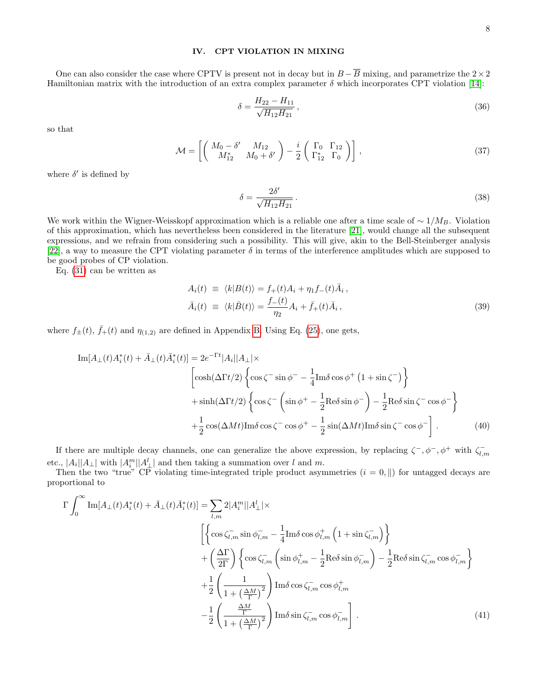### IV. CPT VIOLATION IN MIXING

One can also consider the case where CPTV is present not in decay but in  $B - \overline{B}$  mixing, and parametrize the 2×2 Hamiltonian matrix with the introduction of an extra complex parameter  $\delta$  which incorporates CPT violation [\[14\]](#page-13-17):

$$
\delta = \frac{H_{22} - H_{11}}{\sqrt{H_{12} H_{21}}},\tag{36}
$$

so that

$$
\mathcal{M} = \left[ \left( \begin{array}{cc} M_0 - \delta' & M_{12} \\ M_{12}^* & M_0 + \delta' \end{array} \right) - \frac{i}{2} \left( \begin{array}{cc} \Gamma_0 & \Gamma_{12} \\ \Gamma_{12}^* & \Gamma_0 \end{array} \right) \right] \,,\tag{37}
$$

where  $\delta'$  is defined by

$$
\delta = \frac{2\delta'}{\sqrt{H_{12}H_{21}}}.
$$
\n(38)

We work within the Wigner-Weisskopf approximation which is a reliable one after a time scale of  $\sim 1/M_B$ . Violation of this approximation, which has nevertheless been considered in the literature [\[21\]](#page-13-18), would change all the subsequent expressions, and we refrain from considering such a possibility. This will give, akin to the Bell-Steinberger analysis [\[22\]](#page-13-19), a way to measure the CPT violating parameter  $\delta$  in terms of the interference amplitudes which are supposed to be good probes of CP violation.

Eq. [\(31\)](#page-5-2) can be written as

$$
A_i(t) \equiv \langle k|B(t)\rangle = f_+(t)A_i + \eta_1 f_-(t)\bar{A}_i,
$$
  
\n
$$
\bar{A}_i(t) \equiv \langle k|\bar{B}(t)\rangle = \frac{f_-(t)}{\eta_2}A_i + \bar{f}_+(t)\bar{A}_i,
$$
\n(39)

where  $f_{\pm}(t)$ ,  $\bar{f}_{+}(t)$  and  $\eta_{(1,2)}$  are defined in Appendix [B.](#page-11-1) Using Eq. [\(25\)](#page-5-1), one gets,

$$
\text{Im}[A_{\perp}(t)A_i^*(t) + \bar{A}_{\perp}(t)\bar{A}_i^*(t)] = 2e^{-\Gamma t}|A_i||A_{\perp}| \times
$$
  

$$
\begin{bmatrix} \cosh(\Delta \Gamma t/2) \left\{ \cos \zeta - \sin \phi^- - \frac{1}{4} \text{Im} \delta \cos \phi^+ (1 + \sin \zeta^-) \right\} \\ + \sinh(\Delta \Gamma t/2) \left\{ \cos \zeta^- \left( \sin \phi^+ - \frac{1}{2} \text{Re} \delta \sin \phi^- \right) - \frac{1}{2} \text{Re} \delta \sin \zeta^- \cos \phi^- \right\} \\ + \frac{1}{2} \cos(\Delta M t) \text{Im} \delta \cos \zeta^- \cos \phi^+ - \frac{1}{2} \sin(\Delta M t) \text{Im} \delta \sin \zeta^- \cos \phi^- \end{bmatrix}.
$$
 (40)

If there are multiple decay channels, one can generalize the above expression, by replacing  $\zeta^-, \phi^-, \phi^+$  with  $\zeta_{l,m}^$ etc.,  $|A_i||A_{\perp}|$  with  $|A_i^m||A_{\perp}^l|$  and then taking a summation over l and m.

Then the two "true" CP violating time-integrated triple product asymmetries  $(i = 0, \|)$  for untagged decays are proportional to

$$
\Gamma \int_0^\infty \text{Im}[A_\perp(t) A_i^*(t) + \bar{A}_\perp(t) \bar{A}_i^*(t)] = \sum_{l,m} 2|A_i^m||A_\perp^l|\times
$$
  

$$
\left[\left\{\cos \zeta_{l,m}^- \sin \phi_{l,m}^- - \frac{1}{4} \text{Im}\delta \cos \phi_{l,m}^+ \left(1 + \sin \zeta_{l,m}^-\right)\right\}
$$
  

$$
+ \left(\frac{\Delta \Gamma}{2\Gamma}\right) \left\{\cos \zeta_{l,m}^- \left(\sin \phi_{l,m}^+ - \frac{1}{2} \text{Re}\delta \sin \phi_{l,m}^-\right) - \frac{1}{2} \text{Re}\delta \sin \zeta_{l,m}^- \cos \phi_{l,m}^-\right\}
$$
  

$$
+ \frac{1}{2} \left(\frac{1}{1 + \left(\frac{\Delta M}{\Gamma}\right)^2}\right) \text{Im}\delta \cos \zeta_{l,m}^- \cos \phi_{l,m}^+ \right]
$$
  

$$
- \frac{1}{2} \left(\frac{\frac{\Delta M}{\Gamma}}{1 + \left(\frac{\Delta M}{\Gamma}\right)^2}\right) \text{Im}\delta \sin \zeta_{l,m}^- \cos \phi_{l,m}^- \right]. \tag{41}
$$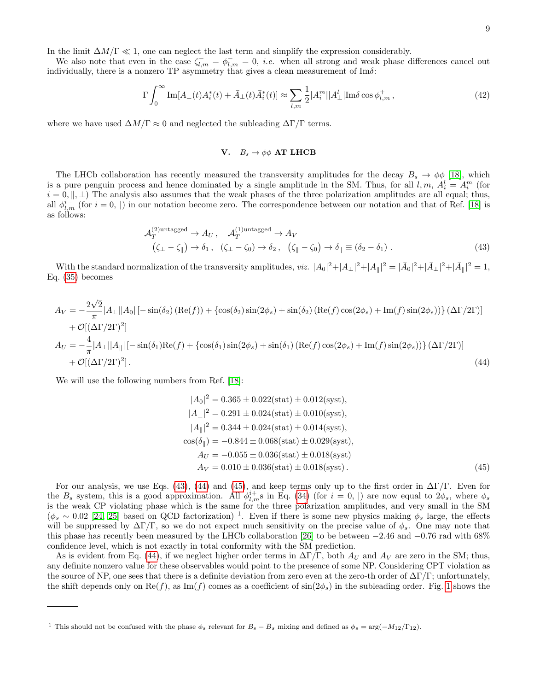In the limit  $\Delta M/\Gamma \ll 1$ , one can neglect the last term and simplify the expression considerably.

We also note that even in the case  $\zeta_{l,m}^- = \phi_{l,m}^- = 0$ , *i.e.* when all strong and weak phase differences cancel out individually, there is a nonzero TP asymmetry that gives a clean measurement of  $\text{Im }\delta$ :

$$
\Gamma \int_0^\infty \text{Im}[A_\perp(t)A_i^*(t) + \bar{A}_\perp(t)\bar{A}_i^*(t)] \approx \sum_{l,m} \frac{1}{2} |A_i^m||A_\perp^l|\text{Im}\delta\cos\phi_{l,m}^+, \tag{42}
$$

where we have used  $\Delta M/\Gamma \approx 0$  and neglected the subleading  $\Delta \Gamma/\Gamma$  terms.

# <span id="page-8-0"></span>V.  $B_s \rightarrow \phi \phi$  AT LHCB

The LHCb collaboration has recently measured the transversity amplitudes for the decay  $B_s \to \phi \phi$  [\[18\]](#page-13-13), which is a pure penguin process and hence dominated by a single amplitude in the SM. Thus, for all  $l, m, A_i^l = A_i^m$  (for  $i = 0, \parallel, \perp$ ) The analysis also assumes that the weak phases of the three polarization amplitudes are all equal; thus, all  $\phi_{l,m}^{i-}$  (for  $i=0, \parallel$ ) in our notation become zero. The correspondence between our notation and that of Ref. [\[18\]](#page-13-13) is as follows:

$$
\mathcal{A}_T^{(2) \text{untagger}} \rightarrow A_U, \quad \mathcal{A}_T^{(1) \text{untagger}} \rightarrow A_V
$$
  

$$
(\zeta_{\perp} - \zeta_{\parallel}) \rightarrow \delta_1, \quad (\zeta_{\perp} - \zeta_0) \rightarrow \delta_2, \quad (\zeta_{\parallel} - \zeta_0) \rightarrow \delta_{\parallel} \equiv (\delta_2 - \delta_1) .
$$
 (43)

With the standard normalization of the transversity amplitudes, *viz.*  $|A_0|^2 + |A_\perp|^2 + |A_\parallel|^2 = |\bar{A}_0|^2 + |\bar{A}_\perp|^2 + |\bar{A}_\parallel|^2 = 1$ , Eq. [\(35\)](#page-6-2) becomes

$$
A_V = -\frac{2\sqrt{2}}{\pi} |A_\perp||A_0| \left[ -\sin(\delta_2) \left( \text{Re}(f) \right) + \left\{ \cos(\delta_2) \sin(2\phi_s) + \sin(\delta_2) \left( \text{Re}(f) \cos(2\phi_s) + \text{Im}(f) \sin(2\phi_s) \right) \right\} \left( \Delta \Gamma / 2\Gamma \right) \right] + \mathcal{O}[(\Delta \Gamma / 2\Gamma)^2] A_U = -\frac{4}{\pi} |A_\perp||A_\parallel| \left[ -\sin(\delta_1) \text{Re}(f) + \left\{ \cos(\delta_1) \sin(2\phi_s) + \sin(\delta_1) \left( \text{Re}(f) \cos(2\phi_s) + \text{Im}(f) \sin(2\phi_s) \right) \right\} \left( \Delta \Gamma / 2\Gamma \right) \right] + \mathcal{O}[(\Delta \Gamma / 2\Gamma)^2].
$$
 (44)

We will use the following numbers from Ref. [\[18\]](#page-13-13):

<span id="page-8-2"></span><span id="page-8-1"></span>
$$
|A_0|^2 = 0.365 \pm 0.022(\text{stat}) \pm 0.012(\text{syst}),
$$
  
\n
$$
|A_{\perp}|^2 = 0.291 \pm 0.024(\text{stat}) \pm 0.010(\text{syst}),
$$
  
\n
$$
|A_{\parallel}|^2 = 0.344 \pm 0.024(\text{stat}) \pm 0.014(\text{syst}),
$$
  
\n
$$
\cos(\delta_{\parallel}) = -0.844 \pm 0.068(\text{stat}) \pm 0.029(\text{syst}),
$$
  
\n
$$
A_U = -0.055 \pm 0.036(\text{stat}) \pm 0.018(\text{syst})
$$
  
\n
$$
A_V = 0.010 \pm 0.036(\text{stat}) \pm 0.018(\text{syst}).
$$
\n(45)

For our analysis, we use Eqs. [\(43\)](#page-8-0), [\(44\)](#page-8-1) and [\(45\)](#page-8-2), and keep terms only up to the first order in  $\Delta\Gamma/\Gamma$ . Even for the  $B_s$  system, this is a good approximation. All  $\phi_{l,m}^{i+}$  is in Eq. [\(34\)](#page-6-1) (for  $i = 0, \parallel$ ) are now equal to  $2\phi_s$ , where  $\phi_s$ is the weak CP violating phase which is the same for the three polarization amplitudes, and very small in the SM  $(\phi_s \sim 0.02$  [\[24,](#page-13-20) [25\]](#page-13-21) based on QCD factorization)<sup>1</sup>. Even if there is some new physics making  $\phi_s$  large, the effects will be suppressed by  $\Delta\Gamma/\Gamma$ , so we do not expect much sensitivity on the precise value of  $\phi_s$ . One may note that this phase has recently been measured by the LHCb collaboration [\[26\]](#page-13-22) to be between −2.46 and −0.76 rad with 68% confidence level, which is not exactly in total conformity with the SM prediction.

As is evident from Eq. [\(44\)](#page-8-1), if we neglect higher order terms in  $\Delta\Gamma/\Gamma$ , both  $A_U$  and  $A_V$  are zero in the SM; thus, any definite nonzero value for these observables would point to the presence of some NP. Considering CPT violation as the source of NP, one sees that there is a definite deviation from zero even at the zero-th order of  $\Delta\Gamma/\Gamma$ ; unfortunately, the shift depends only on  $\text{Re}(f)$ , as Im(f) comes as a coefficient of  $\sin(2\phi_s)$  in the subleading order. Fig. [1](#page-9-0) shows the

<sup>&</sup>lt;sup>1</sup> This should not be confused with the phase  $\phi_s$  relevant for  $B_s - \overline{B}_s$  mixing and defined as  $\phi_s = \arg(-M_{12}/\Gamma_{12})$ .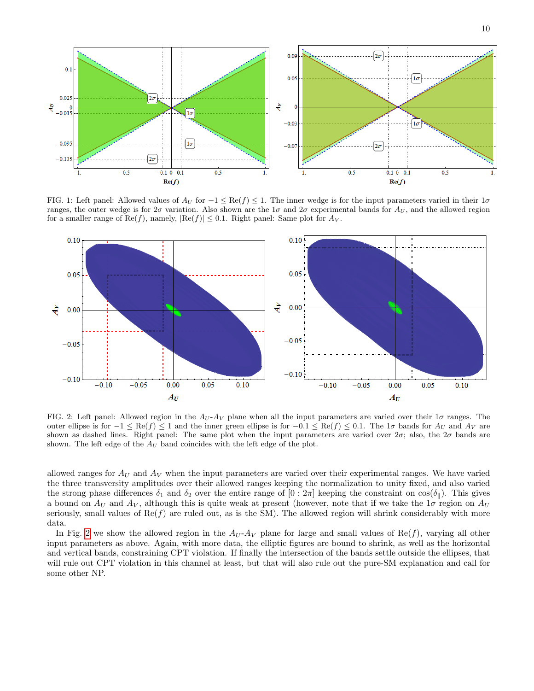

<span id="page-9-0"></span>FIG. 1: Left panel: Allowed values of  $A_U$  for  $-1 \leq \text{Re}(f) \leq 1$ . The inner wedge is for the input parameters varied in their  $1\sigma$ ranges, the outer wedge is for  $2\sigma$  variation. Also shown are the  $1\sigma$  and  $2\sigma$  experimental bands for  $A_U$ , and the allowed region for a smaller range of Re(f), namely,  $|Re(f)| \leq 0.1$ . Right panel: Same plot for  $Av$ .



<span id="page-9-1"></span>FIG. 2: Left panel: Allowed region in the  $A_U$ - $A_V$  plane when all the input parameters are varied over their  $1\sigma$  ranges. The outer ellipse is for  $-1 \leq \text{Re}(f) \leq 1$  and the inner green ellipse is for  $-0.1 \leq \text{Re}(f) \leq 0.1$ . The  $1\sigma$  bands for  $A_U$  and  $A_V$  are shown as dashed lines. Right panel: The same plot when the input parameters are varied over  $2\sigma$ ; also, the  $2\sigma$  bands are shown. The left edge of the  $A_U$  band coincides with the left edge of the plot.

allowed ranges for  $A_U$  and  $A_V$  when the input parameters are varied over their experimental ranges. We have varied the three transversity amplitudes over their allowed ranges keeping the normalization to unity fixed, and also varied the strong phase differences  $\delta_1$  and  $\delta_2$  over the entire range of  $[0:2\pi]$  keeping the constraint on  $\cos(\delta_{\parallel})$ . This gives a bound on  $A_U$  and  $A_V$ , although this is quite weak at present (however, note that if we take the  $1\sigma$  region on  $A_U$ seriously, small values of  $\text{Re}(f)$  are ruled out, as is the SM). The allowed region will shrink considerably with more data.

In Fig. [2](#page-9-1) we show the allowed region in the  $A_U$ - $A_V$  plane for large and small values of Re(f), varying all other input parameters as above. Again, with more data, the elliptic figures are bound to shrink, as well as the horizontal and vertical bands, constraining CPT violation. If finally the intersection of the bands settle outside the ellipses, that will rule out CPT violation in this channel at least, but that will also rule out the pure-SM explanation and call for some other NP.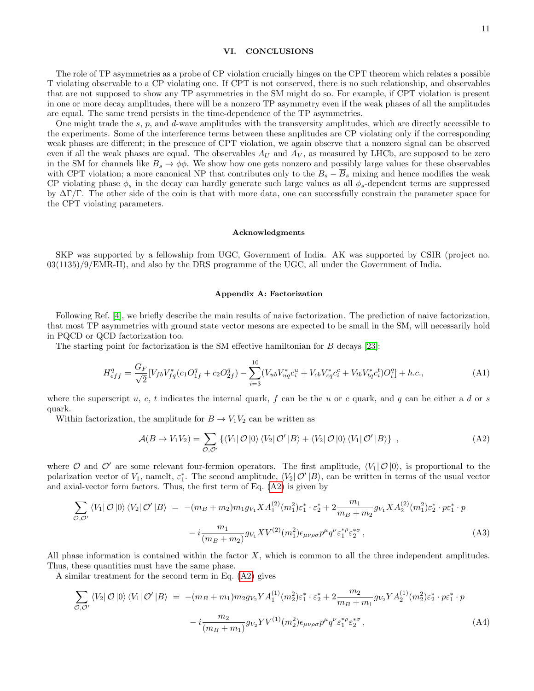### VI. CONCLUSIONS

The role of TP asymmetries as a probe of CP violation crucially hinges on the CPT theorem which relates a possible T violating observable to a CP violating one. If CPT is not conserved, there is no such relationship, and observables that are not supposed to show any TP asymmetries in the SM might do so. For example, if CPT violation is present in one or more decay amplitudes, there will be a nonzero TP asymmetry even if the weak phases of all the amplitudes are equal. The same trend persists in the time-dependence of the TP asymmetries.

One might trade the s,  $p$ , and  $d$ -wave amplitudes with the transversity amplitudes, which are directly accessible to the experiments. Some of the interference terms between these anplitudes are CP violating only if the corresponding weak phases are different; in the presence of CPT violation, we again observe that a nonzero signal can be observed even if all the weak phases are equal. The observables  $A_U$  and  $A_V$ , as measured by LHCb, are supposed to be zero in the SM for channels like  $B_s \to \phi \phi$ . We show how one gets nonzero and possibly large values for these observables with CPT violation; a more canonical NP that contributes only to the  $B_s - \overline{B}_s$  mixing and hence modifies the weak CP violating phase  $\phi_s$  in the decay can hardly generate such large values as all  $\phi_s$ -dependent terms are suppressed by  $\Delta\Gamma/\Gamma$ . The other side of the coin is that with more data, one can successfully constrain the parameter space for the CPT violating parameters.

#### Acknowledgments

SKP was supported by a fellowship from UGC, Government of India. AK was supported by CSIR (project no. 03(1135)/9/EMR-II), and also by the DRS programme of the UGC, all under the Government of India.

#### Appendix A: Factorization

Following Ref. [\[4\]](#page-13-2), we briefly describe the main results of naive factorization. The prediction of naive factorization, that most TP asymmetries with ground state vector mesons are expected to be small in the SM, will necessarily hold in PQCD or QCD factorization too.

The starting point for factorization is the SM effective hamiltonian for B decays [\[23\]](#page-13-23):

$$
H_{eff}^{q} = \frac{G_F}{\sqrt{2}} [V_{fb} V_{fq}^{*} (c_1 O_{1f}^{q} + c_2 O_{2f}^{q}) - \sum_{i=3}^{10} (V_{ub} V_{uq}^{*} c_i^{u} + V_{cb} V_{cq}^{*} c_i^{c} + V_{tb} V_{tq}^{*} c_i^{t}) O_i^{q}] + h.c.,
$$
\n(A1)

where the superscript u, c, t indicates the internal quark, f can be the u or c quark, and q can be either a d or s quark.

Within factorization, the amplitude for  $B \to V_1V_2$  can be written as

<span id="page-10-0"></span>
$$
\mathcal{A}(B \to V_1 V_2) = \sum_{\mathcal{O}, \mathcal{O}'} \left\{ \langle V_1 | \mathcal{O} | 0 \rangle \langle V_2 | \mathcal{O}' | B \rangle + \langle V_2 | \mathcal{O} | 0 \rangle \langle V_1 | \mathcal{O}' | B \rangle \right\},\tag{A2}
$$

where  $\mathcal O$  and  $\mathcal O'$  are some relevant four-fermion operators. The first amplitude,  $\langle V_1|\mathcal O|0\rangle$ , is proportional to the polarization vector of  $V_1$ , namelt,  $\varepsilon_1^*$ . The second amplitude,  $\langle V_2|\mathcal{O}'|B\rangle$ , can be written in terms of the usual vector and axial-vector form factors. Thus, the first term of Eq. [\(A2\)](#page-10-0) is given by

<span id="page-10-1"></span>
$$
\sum_{\mathcal{O},\mathcal{O}'} \langle V_1 | \mathcal{O} | 0 \rangle \langle V_2 | \mathcal{O}' | B \rangle = -(m_B + m_2) m_1 g_{V_1} X A_1^{(2)} (m_1^2) \varepsilon_1^* \cdot \varepsilon_2^* + 2 \frac{m_1}{m_B + m_2} g_{V_1} X A_2^{(2)} (m_1^2) \varepsilon_2^* \cdot p \varepsilon_1^* \cdot p - i \frac{m_1}{(m_B + m_2)} g_{V_1} X V^{(2)} (m_1^2) \varepsilon_{\mu \nu \rho \sigma} p^{\mu} q^{\nu} \varepsilon_1^{* \rho} \varepsilon_2^{* \sigma} ,
$$
\n(A3)

All phase information is contained within the factor  $X$ , which is common to all the three independent amplitudes. Thus, these quantities must have the same phase.

A similar treatment for the second term in Eq. [\(A2\)](#page-10-0) gives

$$
\sum_{\mathcal{O},\mathcal{O}'} \langle V_2 | \mathcal{O} | 0 \rangle \langle V_1 | \mathcal{O}' | B \rangle = -(m_B + m_1) m_2 g_{V_2} Y A_1^{(1)} (m_2^2) \varepsilon_1^* \cdot \varepsilon_2^* + 2 \frac{m_2}{m_B + m_1} g_{V_2} Y A_2^{(1)} (m_2^2) \varepsilon_2^* \cdot p \varepsilon_1^* \cdot p - i \frac{m_2}{(m_B + m_1)} g_{V_2} Y V^{(1)} (m_2^2) \varepsilon_{\mu \nu \rho \sigma} p^{\mu} q^{\nu} \varepsilon_1^{* \rho} \varepsilon_2^{* \sigma} ,
$$
\n(A4)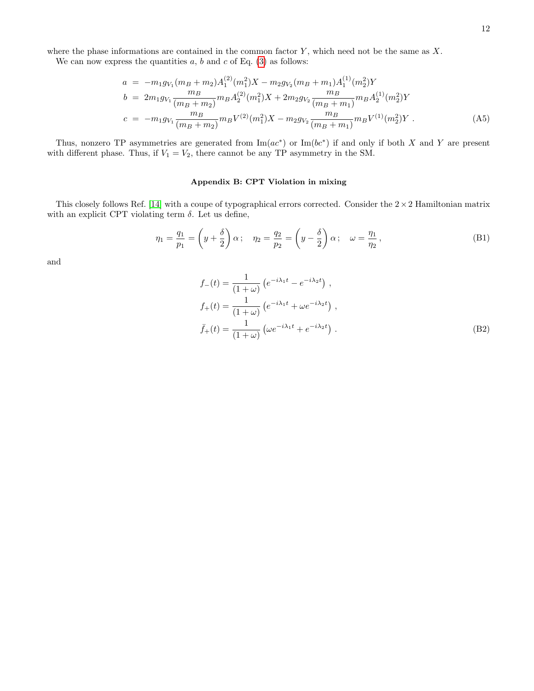We can now express the quantities  $a, b$  and  $c$  of Eq. [\(3\)](#page-1-0) as follows:

<span id="page-11-0"></span>
$$
a = -m_1 g_{V_1}(m_B + m_2) A_1^{(2)}(m_1^2) X - m_2 g_{V_2}(m_B + m_1) A_1^{(1)}(m_2^2) Y
$$
  
\n
$$
b = 2m_1 g_{V_1} \frac{m_B}{(m_B + m_2)} m_B A_2^{(2)}(m_1^2) X + 2m_2 g_{V_2} \frac{m_B}{(m_B + m_1)} m_B A_2^{(1)}(m_2^2) Y
$$
  
\n
$$
c = -m_1 g_{V_1} \frac{m_B}{(m_B + m_2)} m_B V^{(2)}(m_1^2) X - m_2 g_{V_2} \frac{m_B}{(m_B + m_1)} m_B V^{(1)}(m_2^2) Y
$$
 (A5)

Thus, nonzero TP asymmetries are generated from  $\text{Im}(ac^*)$  or  $\text{Im}(bc^*)$  if and only if both X and Y are present with different phase. Thus, if  $V_1 = V_2$ , there cannot be any TP asymmetry in the SM.

# <span id="page-11-1"></span>Appendix B: CPT Violation in mixing

This closely follows Ref. [\[14\]](#page-13-17) with a coupe of typographical errors corrected. Consider the  $2 \times 2$  Hamiltonian matrix with an explicit CPT violating term  $\delta$ . Let us define,

$$
\eta_1 = \frac{q_1}{p_1} = \left(y + \frac{\delta}{2}\right)\alpha; \quad \eta_2 = \frac{q_2}{p_2} = \left(y - \frac{\delta}{2}\right)\alpha; \quad \omega = \frac{\eta_1}{\eta_2},\tag{B1}
$$

and

$$
f_{-}(t) = \frac{1}{(1+\omega)} \left( e^{-i\lambda_1 t} - e^{-i\lambda_2 t} \right) ,
$$
  
\n
$$
f_{+}(t) = \frac{1}{(1+\omega)} \left( e^{-i\lambda_1 t} + \omega e^{-i\lambda_2 t} \right) ,
$$
  
\n
$$
\bar{f}_{+}(t) = \frac{1}{(1+\omega)} \left( \omega e^{-i\lambda_1 t} + e^{-i\lambda_2 t} \right) .
$$
\n(B2)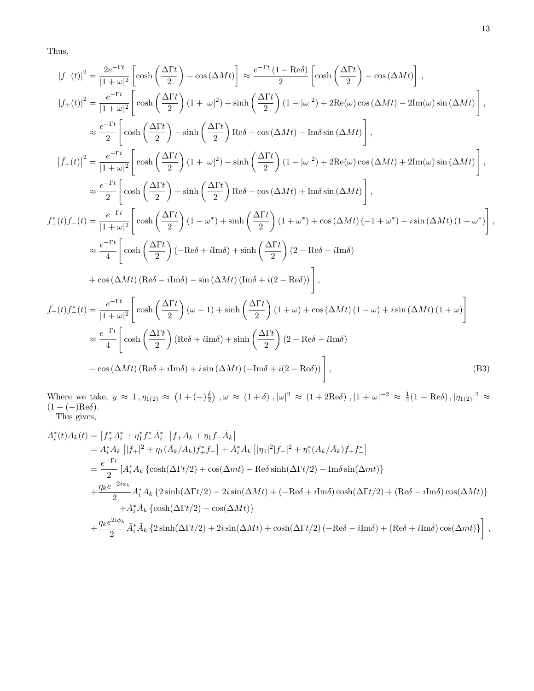Thus,

$$
|f_{-}(t)|^{2} = \frac{2e^{-\Gamma t}}{|1+\omega|^{2}} \left[\cosh\left(\frac{\Delta\Gamma t}{2}\right) - \cos(\Delta Mt)\right] \approx \frac{e^{-\Gamma t}(1-\text{Re}\delta)}{2} \left[\cosh\left(\frac{\Delta\Gamma t}{2}\right) - \cos(\Delta Mt)\right],
$$
  
\n
$$
|f_{+}(t)|^{2} = \frac{e^{-\Gamma t}}{|1+\omega|^{2}} \left[\cosh\left(\frac{\Delta\Gamma t}{2}\right)(1+|\omega|^{2}) + \sinh\left(\frac{\Delta\Gamma t}{2}\right)(1-|\omega|^{2}) + 2\text{Re}(\omega)\cos(\Delta Mt) - 2\text{Im}(\omega)\sin(\Delta Mt)\right],
$$
  
\n
$$
\approx \frac{e^{-\Gamma t}}{2} \left[\cosh\left(\frac{\Delta\Gamma t}{2}\right) - \sinh\left(\frac{\Delta\Gamma t}{2}\right)\text{Re}\delta + \cos(\Delta Mt) - \text{Im}\delta\sin(\Delta Mt)\right],
$$
  
\n
$$
|\bar{f}_{+}(t)|^{2} = \frac{e^{-\Gamma t}}{|1+\omega|^{2}} \left[\cosh\left(\frac{\Delta\Gamma t}{2}\right)(1+|\omega|^{2}) - \sinh\left(\frac{\Delta\Gamma t}{2}\right)(1-|\omega|^{2}) + 2\text{Re}(\omega)\cos(\Delta Mt) + 2\text{Im}(\omega)\sin(\Delta Mt)\right],
$$
  
\n
$$
\approx \frac{e^{-\Gamma t}}{2} \left[\cosh\left(\frac{\Delta\Gamma t}{2}\right) + \sinh\left(\frac{\Delta\Gamma t}{2}\right)\text{Re}\delta + \cos(\Delta Mt) + \text{Im}\delta\sin(\Delta Mt)\right],
$$
  
\n
$$
f_{+}^{*}(t)f_{-}(t) = \frac{e^{-\Gamma t}}{|1+\omega|^{2}} \left[\cosh\left(\frac{\Delta\Gamma t}{2}\right)(1-\omega^{*}) + \sinh\left(\frac{\Delta\Gamma t}{2}\right)(1+\omega^{*}) + \cos(\Delta Mt)(-1+\omega^{*}) - i\sin(\Delta Mt)(1+\omega^{*})\right],
$$
  
\n
$$
\approx \frac{e^{-\Gamma t}}{4} \left[\cosh\left(\frac{\Delta\Gamma t}{2}\right)(-\text{Re}\delta + i\text{Im}\delta) + \sinh\left(\frac{\Delta\Gamma t}{2}\right)(2-\text{Re}\delta - i\text{Im}\delta)
$$

Where we take,  $y \approx 1$ ,  $\eta_{1(2)} \approx (1 + (-)\frac{\delta}{2})$ ,  $\omega \approx (1 + \delta)$ ,  $|\omega|^2 \approx (1 + 2\text{Re}\delta)$ ,  $|1 + \omega|^{-2} \approx \frac{1}{4}(1 - \text{Re}\delta)$ ,  $|\eta_{1(2)}|^2 \approx$  $(1 + (-)$ Re $\delta$ ). This gives,

$$
A_i^*(t)A_k(t) = [f_+^*A_i^* + \eta_1^*f_-^*A_i^*] [f_+A_k + \eta_1f_-A_k]
$$
  
\n
$$
= A_i^*A_k [|f_+|^2 + \eta_1(\bar{A}_k/A_k)f_+^*f_-] + \bar{A}_i^*\bar{A}_k [|\eta_1|^2|f_-|^2 + \eta_1^*(A_k/\bar{A}_k)f_+f_-^*]
$$
  
\n
$$
= \frac{e^{-\Gamma t}}{2} [A_i^*A_k \{\cosh(\Delta\Gamma t/2) + \cos(\Delta mt) - \text{Re}\delta\sinh(\Delta\Gamma t/2) - \text{Im}\delta\sin(\Delta mt)\}
$$
  
\n
$$
+ \frac{\eta_ke^{-2i\phi_k}}{2} A_i^*A_k \{2\sinh(\Delta\Gamma t/2) - 2i\sin(\Delta Mt) + (-\text{Re}\delta + i\text{Im}\delta)\cosh(\Delta\Gamma t/2) + (\text{Re}\delta - i\text{Im}\delta)\cos(\Delta Mt)\}
$$
  
\n
$$
+ \bar{A}_i^*\bar{A}_k \{\cosh(\Delta\Gamma t/2) - \cos(\Delta Mt)\}
$$
  
\n
$$
+ \frac{\eta_ke^{2i\phi_k}}{2} \bar{A}_i^*\bar{A}_k \{2\sinh(\Delta\Gamma t/2) + 2i\sin(\Delta Mt) + \cosh(\Delta\Gamma t/2) (-\text{Re}\delta - i\text{Im}\delta) + (\text{Re}\delta + i\text{Im}\delta)\cos(\Delta mt)\}
$$